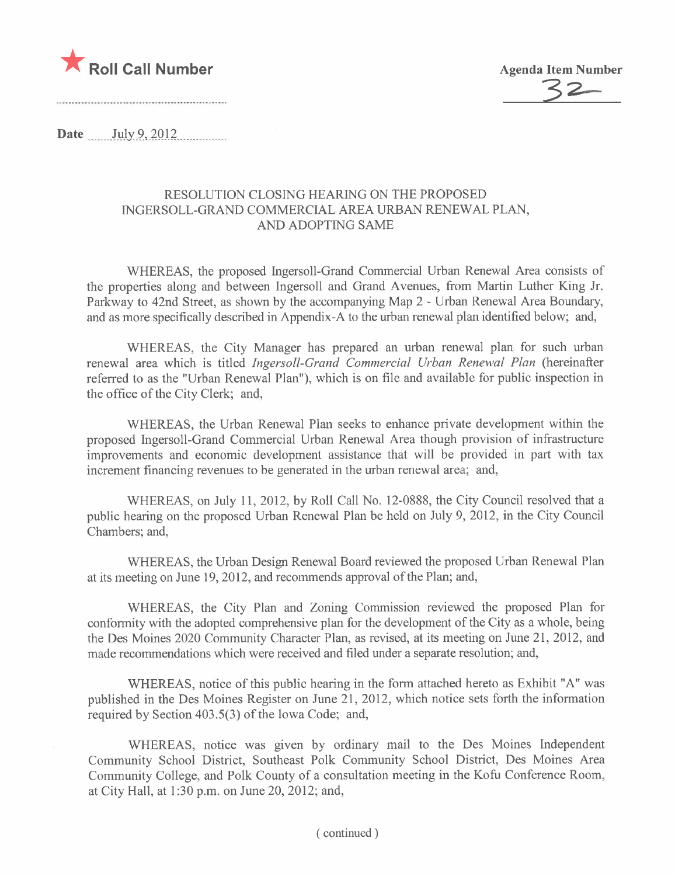



Date  $\quad$  July 9, 2012

#### RESOLUTION CLOSING HEARING ON THE PROPOSED INGERSOLL-GRAND COMMERCIAL AREA URBAN RENEWAL PLAN, AND ADOPTING SAME

WHEREAS, the proposed Ingersoll-Grand Commercial Urban Renewal Area consists of the properties along and between Ingersoll and Grand Avenues, from Martin Luther King Jr. Parkway to 42nd Street, as shown by the accompanying Map 2 - Urban Renewal Area Boundary, and as more specifically described in Appendix-A to the urban renewal plan identified below; and,

WHEREAS, the City Manager has prepared an urban renewal plan for such urban renewal area which is titled Ingersoll-Grand Commercial Urban Renewal Plan (hereinafter referred to as the "Urban Renewal Plan"), which is on fie and available for public inspection in the office of the City Clerk; and,

WHEREAS, the Urban Renewal Plan seeks to enhance private development within the proposed Ingersoll-Grand Commercial Urban Renewal Area though provision of infrastructure improvements and economic development assistance that will be provided in part with tax increment financing revenues to be generated in the urban renewal area; and,

WHEREAS, on July 11, 2012, by Roll Call No. 12-0888, the City Council resolved that a public hearing on the proposed Urban Renewal Plan be held on July 9, 2012, in the City Council Chambers; and,

WHEREAS, the Urban Design Renewal Board reviewed the proposed Urban Renewal Plan at its meeting on June 19, 2012, and recommends approval of the Plan; and,

WHEREAS, the City Plan and Zoning Commission reviewed the proposed Plan for conformity with the adopted comprehensive plan for the development of the City as a whole, being the Des Moines 2020 Community Character Plan, as revised, at its meeting on June 21, 2012, and made recommendations which were received and filed under a separate resolution; and,

WHEREAS, notice of this public hearing in the form attached hereto as Exhibit "A" was published in the Des Moines Register on June 21, 2012, which notice sets forth the information required by Section 403.5(3) of the Iowa Code; and,

WHEREAS, notice was given by ordinary mail to the Des Moines Independent Community School District, Southeast Polk Community School District, Des Moines Area Community College, and Polk County of a consultation meeting in the Kofu Conference Room, at City Hall, at 1 :30 p.m. on June 20,2012; and,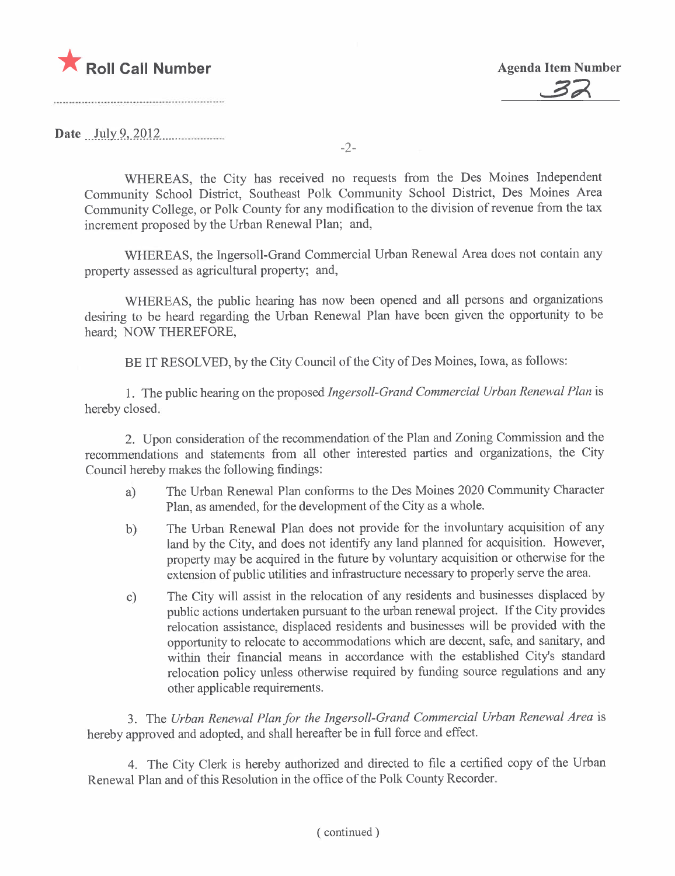



Date ..Ji,lY.9.,)Q-l2..........m....m.

-2-

WHEREAS, the City has received no requests from the Des Moines Independent Community School District, Southeast Polk Community School District, Des Moines Area Community College, or Polk County for any modification to the division of revenue from the tax increment proposed by the Urban Renewal Plan; and,

WHEREAS, the Ingersoll-Grand Commercial Urban Renewal Area does not contain any property assessed as agricultural property; and,

WHEREAS, the public hearing has now been opened and all persons and organizations desiring to be heard regarding the Urban Renewal Plan have been given the opportunity to be heard; NOW THEREFORE,

BE IT RESOLVED, by the City Council of the City of Des Moines, Iowa, as follows:

1. The public hearing on the proposed Ingersoll-Grand Commercial Urban Renewal Plan is hereby closed.

2. Upon consideration of the recommendation of the Plan and Zoning Commission and the recommendations and statements from all other interested parties and organizations, the City Council hereby makes the following findings:

- a) The Urban Renewal Plan conforms to the Des Moines 2020 Community Character Plan, as amended, for the development of the City as a whole.
- b) The Urban Renewal Plan does not provide for the involuntary acquisition of any land by the City, and does not identify any land planned for acquisition. However, property may be acquired in the future by voluntary acquisition or otherwise for the extension of public utilities and infrastructure necessary to properly serve the area.
- c) The City will assist in the relocation of any residents and businesses displaced by public actions undertaken pursuant to the urban renewal project. If the City provides relocation assistance, displaced residents and businesses will be provided with the opportnity to relocate to accommodations which are decent, safe, and sanitary, and within their financial means in accordance with the established City's standard relocation policy unless otherwise required by funding source regulations and any other applicable requirements.

3. The Urban Renewal Plan for the Ingersoll-Grand Commercial Urban Renewal Area is hereby approved and adopted, and shall hereafter be in full force and effect.

4. The City Clerk is hereby authorized and directed to file a certified copy of the Urban Renewal Plan and of this Resolution in the office of the Polk County Recorder.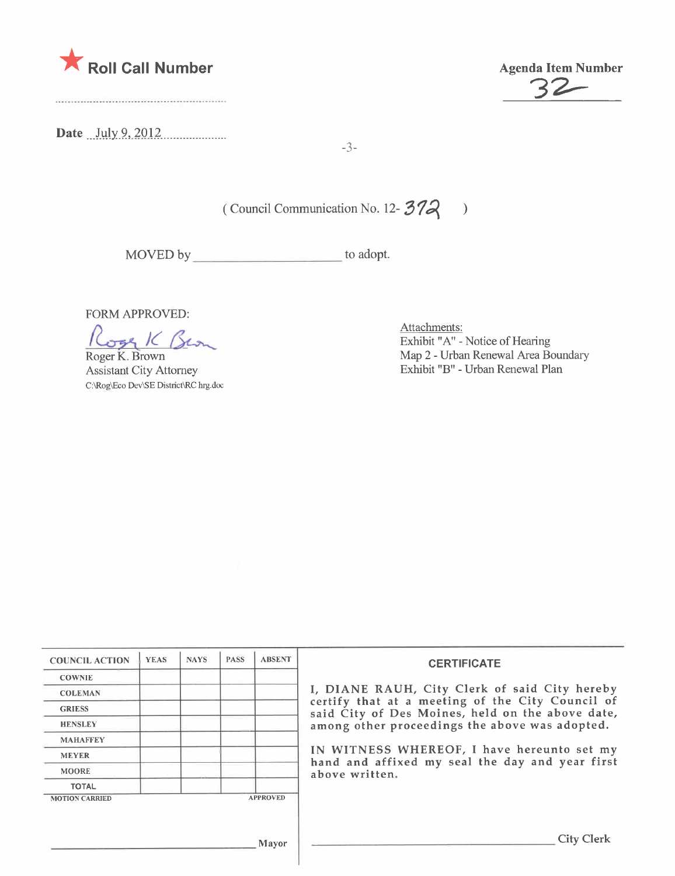

Date *July 9, 2012* 

\* Roll Call Number Agenda Item Number Agenda Item Number

-3-

( Council Communication No. 12- $372$  )

MOVED by to adopt.

FORM APPROVED:

Roger K. Brown

Assistant City Attorney c:\Rog\Eo Dev\SE District\RC hrg.doc

Attachments: Exhbit "A" - Notice of Hearing Map 2 - Urban Renewal Area Boundary Exhbit "B" - Urban Renewal Plan

| <b>COUNCIL ACTION</b> | <b>YEAS</b> | <b>NAYS</b> | <b>PASS</b> | <b>ABSENT</b>   | <b>CERTIFICATE</b>                                                                                   |  |
|-----------------------|-------------|-------------|-------------|-----------------|------------------------------------------------------------------------------------------------------|--|
| <b>COWNIE</b>         |             |             |             |                 |                                                                                                      |  |
| <b>COLEMAN</b>        |             |             |             |                 | I, DIANE RAUH, City Clerk of said City hereby                                                        |  |
| <b>GRIESS</b>         |             |             |             |                 | certify that at a meeting of the City Council of<br>said City of Des Moines, held on the above date, |  |
| <b>HENSLEY</b>        |             |             |             |                 | among other proceedings the above was adopted.                                                       |  |
| <b>MAHAFFEY</b>       |             |             |             |                 |                                                                                                      |  |
| <b>MEYER</b>          |             |             |             |                 | IN WITNESS WHEREOF, I have hereunto set my<br>hand and affixed my seal the day and year first        |  |
| <b>MOORE</b>          |             |             |             |                 | above written.                                                                                       |  |
| <b>TOTAL</b>          |             |             |             |                 |                                                                                                      |  |
| <b>MOTION CARRIED</b> |             |             |             | <b>APPROVED</b> |                                                                                                      |  |
|                       |             |             |             |                 |                                                                                                      |  |
|                       |             |             |             | Mayor           | City Clerk                                                                                           |  |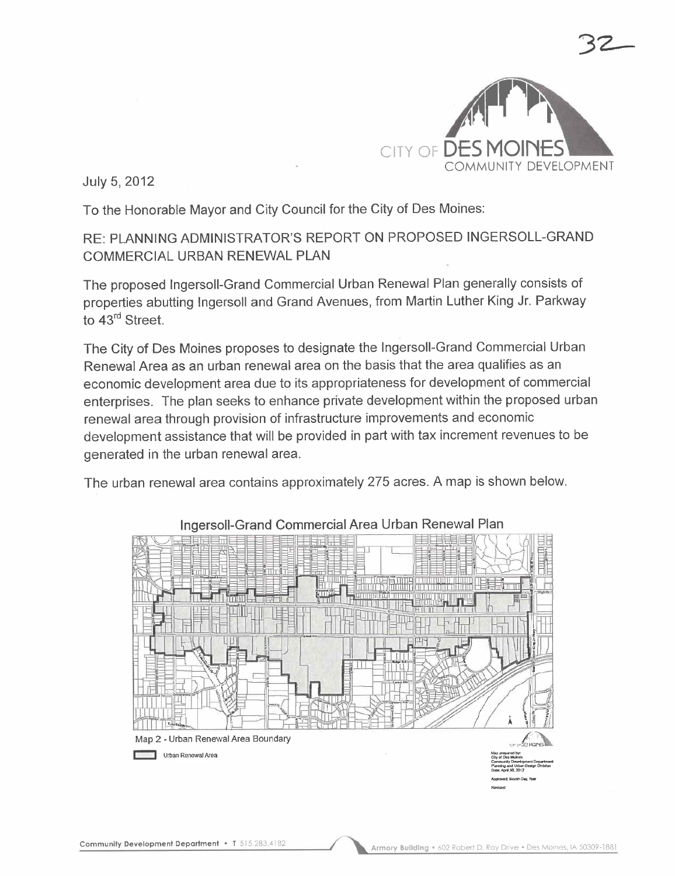

July 5, 2012

To the Honorable Mayor and City Council for the City of Des Moines:

## RE: PLANNING ADMINISTRATOR'S REPORT ON PROPOSED INGERSOLL-GRAND COMMERCIAL URBAN RENEWAL PLAN

The proposed Ingersoll-Grand Commercial Urban Renewal Plan generally consists of properties abutting Ingersoll and Grand Avenues, from Martin Luther King Jr. Parkway to 43<sup>rd</sup> Street.

The City of Des Moines proposes to designate the Ingersoll-Grand Commercial Urban Renewal Area as an urban renewal area on the basis that the area qualifies as an economic development area due to its appropriateness for development of commercial enterprises. The plan seeks to enhance private development within the proposed urban renewal area through provision of infrastructure improvements and economic development assistance that will be provided in part with tax increment revenues to be generated in the urban renewal area.

The urban renewal area contains approximately 275 acres. A map is shown below.



#### Ingersoll-Grand Commercial Area Urban Renewal Plan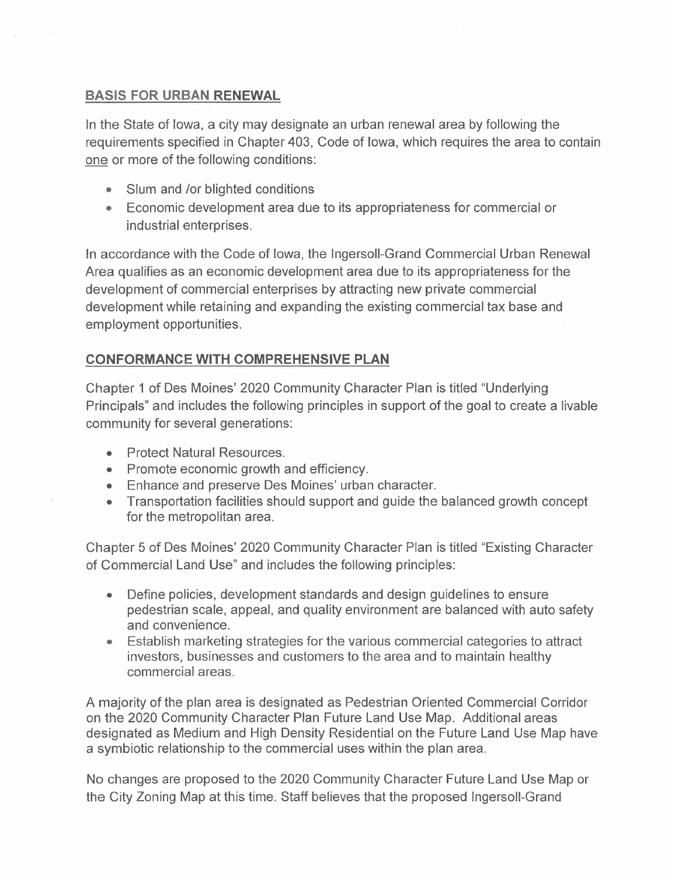### BASIS FOR URBAN RENEWAL

In the State of Iowa, a city may designate an urban renewal area by following the requirements specified in Chapter 403, Code of Iowa, which requires the area to contain one or more of the following conditions:

- Slum and /or blighted conditions
- . Economic development area due to its appropriateness for commercial or industrial enterprises.

In accordance with the Code of Iowa, the Ingersoll-Grand Commercial Urban Renewal Area qualifies as an economic development area due to its appropriateness for the development of commercial enterprises by attracting new private commercial development while retaining and expanding the existing commercial tax base and employment opportunities.

## CONFORMANCE WITH COMPREHENSIVE PLAN

Chapter 1 of Des Moines' 2020 Community Character Plan is titled "Underlying Principals" and includes the following principles in support of the goal to create a livable community for several generations:

- . Protect Natural Resources.
- Promote economic growth and efficiency.
- . Enhance and preserve Des Moines' urban character.
- . Transportation facilities should support and guide the balanced growth concept for the metropolitan area.

Chapter 5 of Des Moines' 2020 Community Character Plan is titled "Existing Character of Commercial Land Use" and includes the following principles:

- . Define policies, development standards and design guidelines to ensure pedestrian scale, appeal, and quality environment are balanced with auto safety and convenience.
- . Establish marketing strategies for the various commercial categories to attract investors, businesses and customers to the area and to maintain healthy commercial areas.

A majority of the plan area is designated as Pedestrian Oriented Commercial Corridor on the 2020 Community Character Plan Future Land Use Map. Additional areas designated as Medium and High Density Residential on the Future Land Use Map have a symbiotic relationship to the commercial uses within the plan area.

No changes are proposed to the 2020 Community Character Future Land Use Map or the City Zoning Map at this time. Staff believes that the proposed Ingersoll-Grand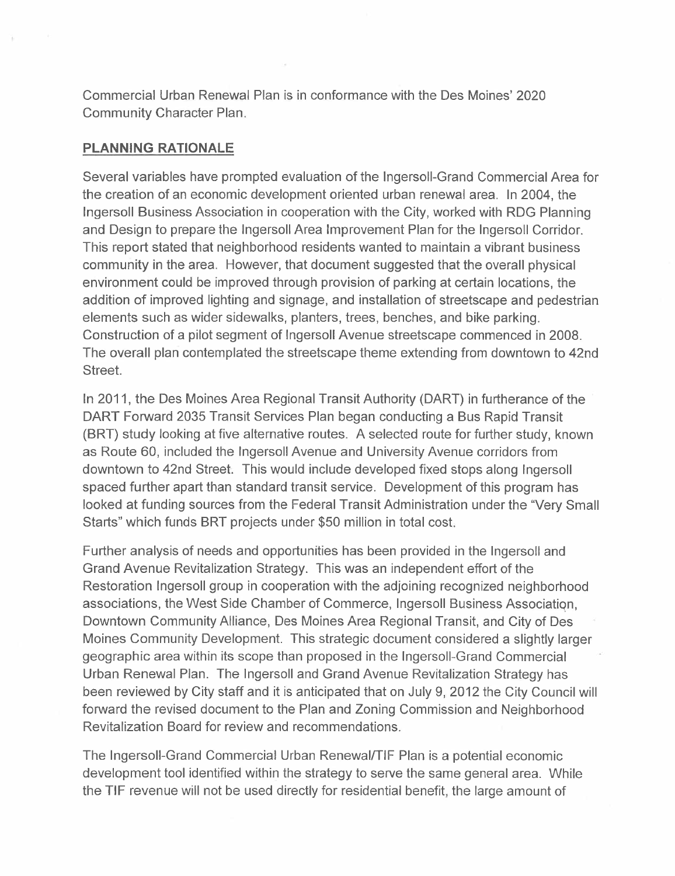Commercial Urban Renewal Plan is in conformance with the Des Moines' 2020 Community Character Plan.

#### PLANNING RATIONALE

Several variables have prompted evaluation of the Ingersoll-Grand Commercial Area for the creation of an economic development oriented urban renewal area. In 2004, the Ingersoll Business Association in cooperation with the City, worked with RDG Planning and Design to prepare the Ingersoll Area Improvement Plan for the Ingersoll Corridor. This report stated that neighborhood residents wanted to maintain a vibrant business community in the area. However, that document suggested that the overall physical environment could be improved through provision of parking at certain locations, the addition of improved lighting and signage, and installation of streetscape and pedestrian elements such as wider sidewalks, planters, trees, benches, and bike parking. Construction of a pilot segment of Ingersoll Avenue streetscape commenced in 2008. The overall plan contemplated the streetscape theme extending from downtown to 42nd Street.

In 2011, the Des Moines Area Regional Transit Authority (DART) in furtherance of the DART Forward 2035 Transit Services Plan began conducting a Bus Rapid Transit (BRT) study looking at five alternative routes. A selected route for further study, known as Route 60, included the Ingersoll Avenue and University Avenue corridors from downtown to 42nd Street. This would include developed fixed stops along Ingersoll spaced further apart than standard transit service. Development of this program has looked at funding sources from the Federal Transit Administration under the "Very Small Starts" which funds BRT projects under \$50 million in total cost.

Further analysis of needs and opportunities has been provided in the Ingersoll and Grand Avenue Revitalization Strategy. This was an independent effort of the Restoration Ingersoll group in cooperation with the adjoining recognized neighborhood associations, the West Side Chamber of Commerce, Ingersoll Business Associatiqn, Downtown Community Alliance, Des Moines Area Regional Transit, and City of Des Moines Community Development. This strategic document considered a slightly larger geographic area within its scope than proposed in the Ingersoll-Grand Commercial Urban Renewal Plan. The Ingersoll and Grand Avenue Revitalization Strategy has been reviewed by City staff and it is anticipated that on July 9,2012 the City Council will forward the revised document to the Plan and Zoning Commission and Neighborhood Revitalization Board for review and recommendations.

The Ingersoll-Grand Commercial Urban RenewalfTlF Plan is a potential economic development tool identified within the strategy to serve the same general area. While the TIF revenue will not be used directly for residential benefit, the large amount of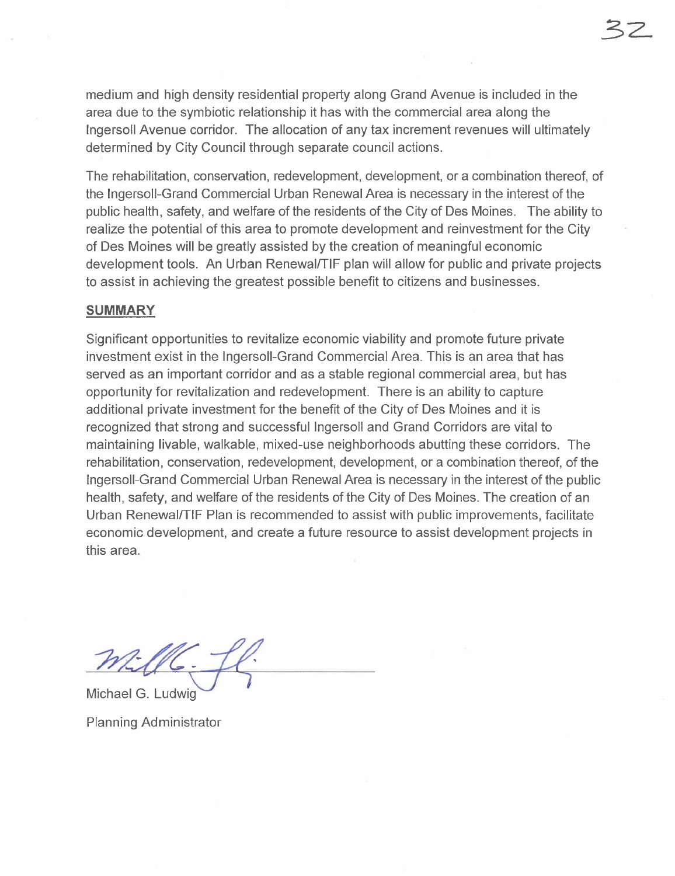medium and high density residential property along Grand Avenue is included in the area due to the symbiotic relationship it has with the commercial area along the Ingersoll Avenue corridor. The allocation of any tax increment revenues will ultimately determined by City Council through separate council actions.

The rehabilitation, conservation, redevelopment, development, or a combination thereof, of the Ingersoll-Grand Commercial Urban Renewal Area is necessary in the interest of the public health, safety, and welfare of the residents of the City of Des Moines. The ability to realize the potential of this area to promote development and reinvestment for the City of Des Moines will be greatly assisted by the creation of meaningful economic development tools. An Urban Renewal/TIF plan will allow for public and private projects to assist in achieving the greatest possible benefit to citizens and businesses.

#### SUMMARY

Significant opportunities to revitalize economic viability and promote future private investment exist in the Ingersoll-Grand Commercial Area. This is an area that has served as an important corridor and as a stable regional commercial area, but has opportunity for revitalization and redevelopment. There is an ability to capture additional private investment for the benefit of the City of Des Moines and it is recognized that strong and successful Ingersoll and Grand Corridors are vital to maintaining livable, walkable, mixed-use neighborhoods abutting these corridors. The rehabilitation, conservation, redevelopment, development, or a combination thereof, of the Ingersoll-Grand Commercial Urban Renewal Area is necessary in the interest of the public health, safety, and welfare of the residents of the City of Des Moines. The creation of an Urban Renewal/TIF Plan is recommended to assist with public improvements, faciliate economic development, and create a future resource to assist development projects in this area.

mille. fl.

Michael G. Ludwig

Planning Administrator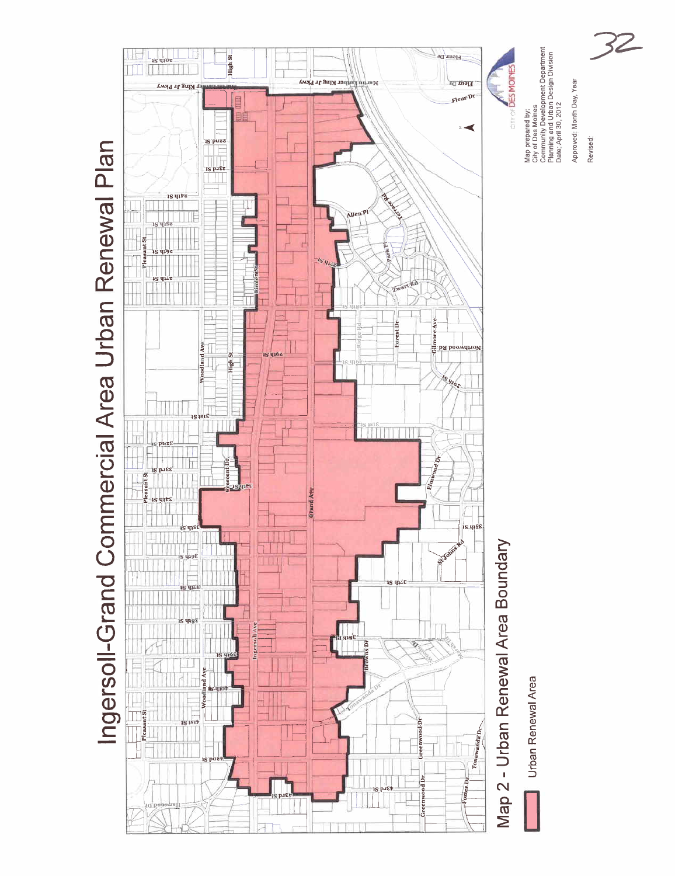

32

Revised: